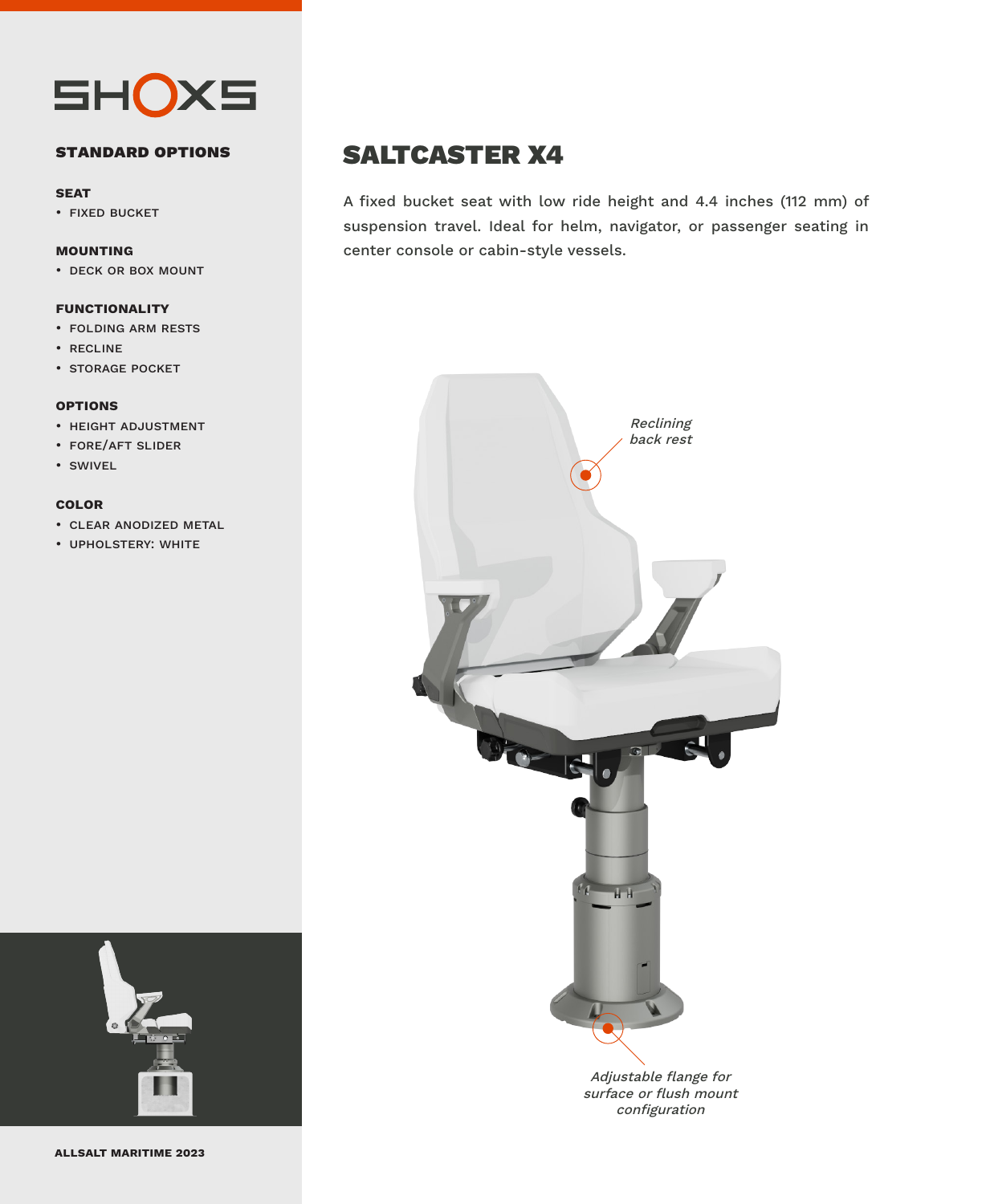

#### **standard options**

#### **seat**

• fixed bucket

#### **mounting**

• deck or box mount

#### **functionality**

- folding arm rests
- recline
- storage pocket

#### **options**

- height adjustment
- fore/aft slider
- swivel

#### **color**

- clear anodized metal
- upholstery: white



## SALTCASTER X4

A fixed bucket seat with low ride height and 4.4 inches (112 mm) of suspension travel. Ideal for helm, navigator, or passenger seating in center console or cabin-style vessels.



Adjustable flange for surface or flush mount configuration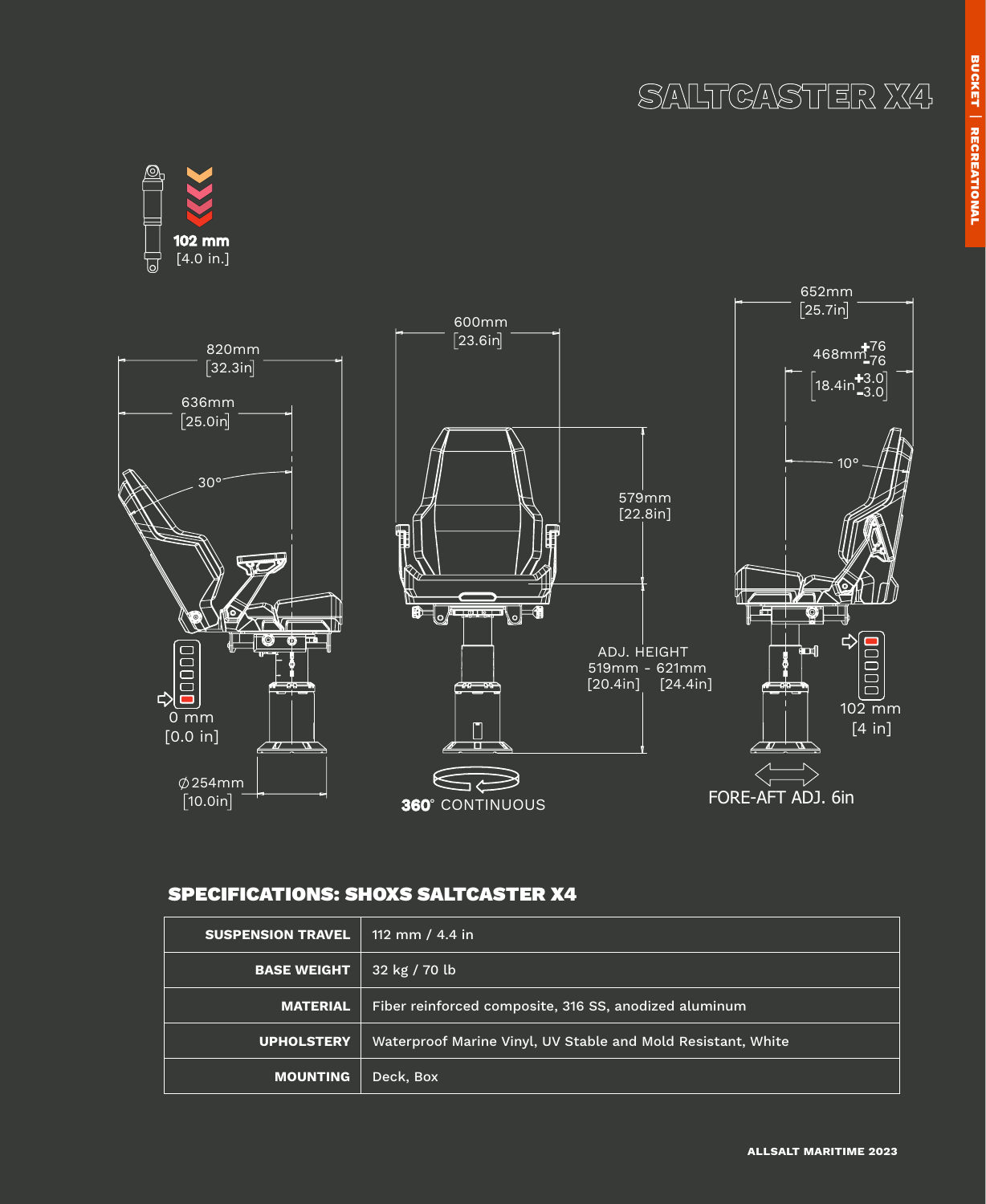

### SPECIFICATIONS: SHOXS SALTCASTER X4

| <b>SUSPENSION TRAVEL</b> | 112 mm / 4.4 in                                              |
|--------------------------|--------------------------------------------------------------|
| <b>BASE WEIGHT</b>       | $32$ kg / 70 lb                                              |
| <b>MATERIAL</b>          | Fiber reinforced composite, 316 SS, anodized aluminum        |
| <b>UPHOLSTERY</b>        | Waterproof Marine Vinyl, UV Stable and Mold Resistant, White |
| <b>MOUNTING</b>          | Deck, Box                                                    |